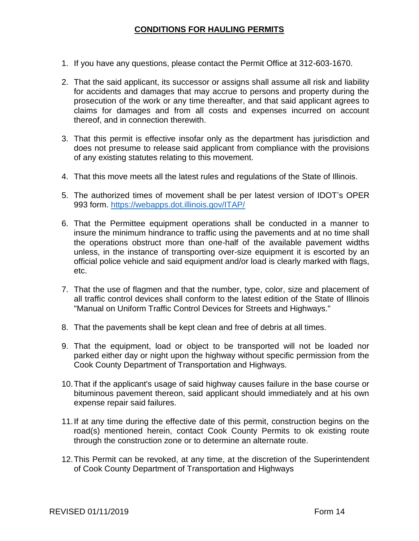## **CONDITIONS FOR HAULING PERMITS**

- 1. If you have any questions, please contact the Permit Office at 312-603-1670.
- 2. That the said applicant, its successor or assigns shall assume all risk and liability for accidents and damages that may accrue to persons and property during the prosecution of the work or any time thereafter, and that said applicant agrees to claims for damages and from all costs and expenses incurred on account thereof, and in connection therewith.
- 3. That this permit is effective insofar only as the department has jurisdiction and does not presume to release said applicant from compliance with the provisions of any existing statutes relating to this movement.
- 4. That this move meets all the latest rules and regulations of the State of Illinois.
- 5. The authorized times of movement shall be per latest version of IDOT's OPER 993 form. <https://webapps.dot.illinois.gov/ITAP/>
- 6. That the Permittee equipment operations shall be conducted in a manner to insure the minimum hindrance to traffic using the pavements and at no time shall the operations obstruct more than one-half of the available pavement widths unless, in the instance of transporting over-size equipment it is escorted by an official police vehicle and said equipment and/or load is clearly marked with flags, etc.
- 7. That the use of flagmen and that the number, type, color, size and placement of all traffic control devices shall conform to the latest edition of the State of Illinois "Manual on Uniform Traffic Control Devices for Streets and Highways."
- 8. That the pavements shall be kept clean and free of debris at all times.
- 9. That the equipment, load or object to be transported will not be loaded nor parked either day or night upon the highway without specific permission from the Cook County Department of Transportation and Highways.
- 10.That if the applicant's usage of said highway causes failure in the base course or bituminous pavement thereon, said applicant should immediately and at his own expense repair said failures.
- 11.If at any time during the effective date of this permit, construction begins on the road(s) mentioned herein, contact Cook County Permits to ok existing route through the construction zone or to determine an alternate route.
- 12.This Permit can be revoked, at any time, at the discretion of the Superintendent of Cook County Department of Transportation and Highways